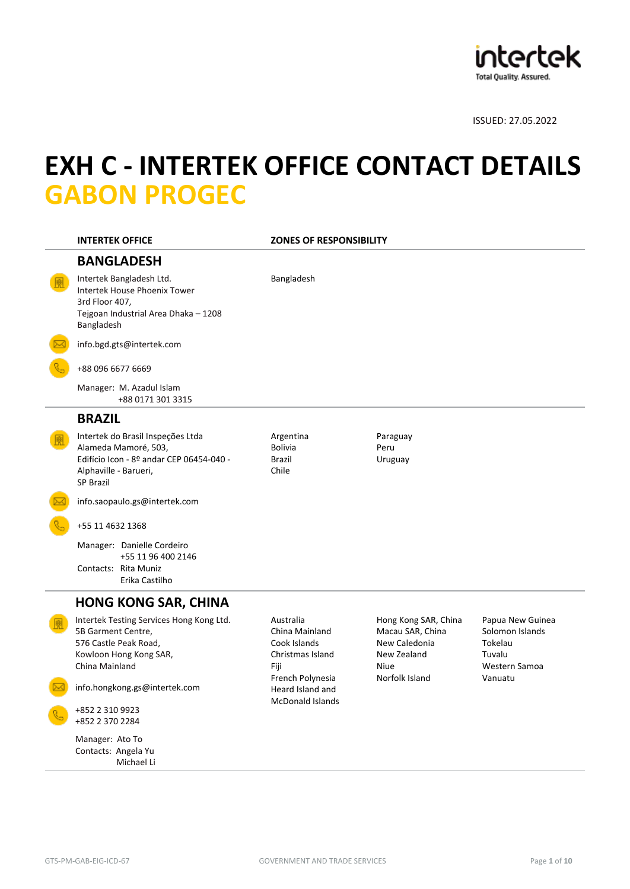

# **EXH C - INTERTEK OFFICE CONTACT DETAILS GABON PROGEC**

| <b>INTERTEK OFFICE</b>                                                                                                                             | <b>ZONES OF RESPONSIBILITY</b>                                                              |                                                                                                           |                                                                                      |
|----------------------------------------------------------------------------------------------------------------------------------------------------|---------------------------------------------------------------------------------------------|-----------------------------------------------------------------------------------------------------------|--------------------------------------------------------------------------------------|
| <b>BANGLADESH</b>                                                                                                                                  |                                                                                             |                                                                                                           |                                                                                      |
| Intertek Bangladesh Ltd.<br>Intertek House Phoenix Tower<br>3rd Floor 407,<br>Tejgoan Industrial Area Dhaka - 1208<br>Bangladesh                   | Bangladesh                                                                                  |                                                                                                           |                                                                                      |
| info.bgd.gts@intertek.com                                                                                                                          |                                                                                             |                                                                                                           |                                                                                      |
| +88 096 6677 6669                                                                                                                                  |                                                                                             |                                                                                                           |                                                                                      |
| Manager: M. Azadul Islam<br>+88 0171 301 3315                                                                                                      |                                                                                             |                                                                                                           |                                                                                      |
| <b>BRAZIL</b>                                                                                                                                      |                                                                                             |                                                                                                           |                                                                                      |
| Intertek do Brasil Inspeções Ltda<br>Alameda Mamoré, 503,<br>Edifício Icon - 8º andar CEP 06454-040 -<br>Alphaville - Barueri,<br><b>SP Brazil</b> | Argentina<br><b>Bolivia</b><br><b>Brazil</b><br>Chile                                       | Paraguay<br>Peru<br>Uruguay                                                                               |                                                                                      |
| info.saopaulo.gs@intertek.com                                                                                                                      |                                                                                             |                                                                                                           |                                                                                      |
| +55 11 4632 1368                                                                                                                                   |                                                                                             |                                                                                                           |                                                                                      |
| Manager: Danielle Cordeiro<br>+55 11 96 400 2146<br>Contacts: Rita Muniz<br>Erika Castilho                                                         |                                                                                             |                                                                                                           |                                                                                      |
| <b>HONG KONG SAR, CHINA</b>                                                                                                                        |                                                                                             |                                                                                                           |                                                                                      |
| Intertek Testing Services Hong Kong Ltd.<br>5B Garment Centre,<br>576 Castle Peak Road,<br>Kowloon Hong Kong SAR,<br>China Mainland                | Australia<br>China Mainland<br>Cook Islands<br>Christmas Island<br>Fiji<br>French Polynesia | Hong Kong SAR, China<br>Macau SAR, China<br>New Caledonia<br>New Zealand<br><b>Niue</b><br>Norfolk Island | Papua New Guinea<br>Solomon Islands<br>Tokelau<br>Tuvalu<br>Western Samoa<br>Vanuatu |
| info.hongkong.gs@intertek.com                                                                                                                      | Heard Island and<br><b>McDonald Islands</b>                                                 |                                                                                                           |                                                                                      |
| +852 2 310 9923<br>+852 2 370 2284                                                                                                                 |                                                                                             |                                                                                                           |                                                                                      |
| Manager: Ato To<br>Contacts: Angela Yu<br>Michael Li                                                                                               |                                                                                             |                                                                                                           |                                                                                      |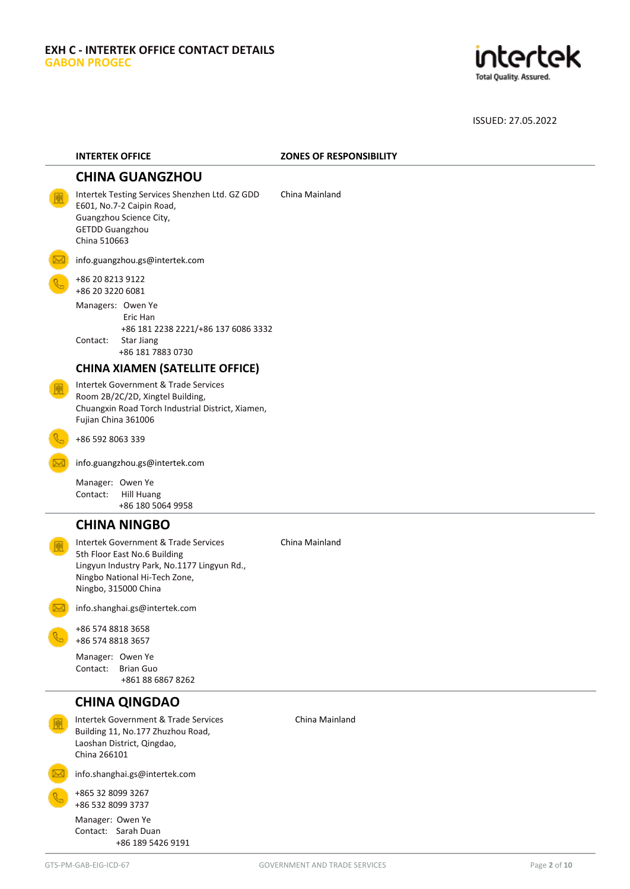

| <b>INTERTEK OFFICE</b>                                                                                                                                                       | <b>ZONES OF RESPONSIBILITY</b> |
|------------------------------------------------------------------------------------------------------------------------------------------------------------------------------|--------------------------------|
| <b>CHINA GUANGZHOU</b>                                                                                                                                                       |                                |
| Intertek Testing Services Shenzhen Ltd. GZ GDD<br>E601, No.7-2 Caipin Road,<br>Guangzhou Science City,<br><b>GETDD Guangzhou</b><br>China 510663                             | China Mainland                 |
| info.guangzhou.gs@intertek.com                                                                                                                                               |                                |
| +86 20 8213 9122<br>+86 20 3220 6081                                                                                                                                         |                                |
| Managers: Owen Ye<br>Eric Han<br>+86 181 2238 2221/+86 137 6086 3332<br>Contact:<br><b>Star Jiang</b><br>+86 181 7883 0730                                                   |                                |
| <b>CHINA XIAMEN (SATELLITE OFFICE)</b>                                                                                                                                       |                                |
| Intertek Government & Trade Services<br>Room 2B/2C/2D, Xingtel Building,<br>Chuangxin Road Torch Industrial District, Xiamen,<br>Fujian China 361006                         |                                |
| +86 592 8063 339                                                                                                                                                             |                                |
| info.guangzhou.gs@intertek.com                                                                                                                                               |                                |
| Manager: Owen Ye<br>Contact:<br><b>Hill Huang</b><br>+86 180 5064 9958                                                                                                       |                                |
| <b>CHINA NINGBO</b>                                                                                                                                                          |                                |
| Intertek Government & Trade Services<br>5th Floor East No.6 Building<br>Lingyun Industry Park, No.1177 Lingyun Rd.,<br>Ningbo National Hi-Tech Zone,<br>Ningbo, 315000 China | China Mainland                 |
| info.shanghai.gs@intertek.com                                                                                                                                                |                                |
| +86 574 8818 3658<br>+86 574 8818 3657                                                                                                                                       |                                |
| Manager: Owen Ye<br>Contact:<br><b>Brian Guo</b><br>+861 88 6867 8262                                                                                                        |                                |
| <b>CHINA QINGDAO</b>                                                                                                                                                         |                                |
| Intertek Government & Trade Services<br>Building 11, No.177 Zhuzhou Road,<br>Laoshan District, Qingdao,<br>China 266101                                                      | China Mainland                 |
| info.shanghai.gs@intertek.com                                                                                                                                                |                                |
| +865 32 8099 3267<br>+86 532 8099 3737                                                                                                                                       |                                |
| Manager: Owen Ye<br>Contact: Sarah Duan<br>+86 189 5426 9191                                                                                                                 |                                |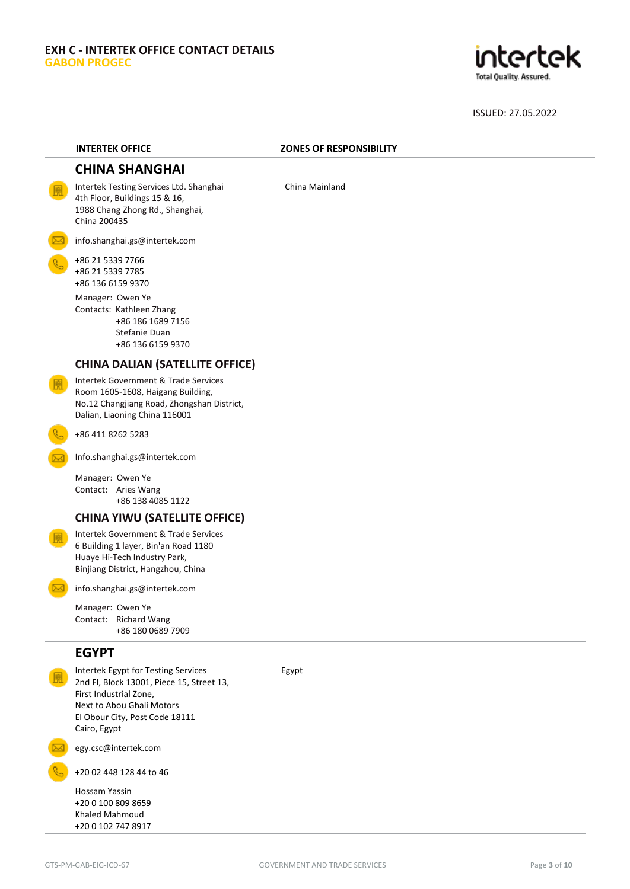

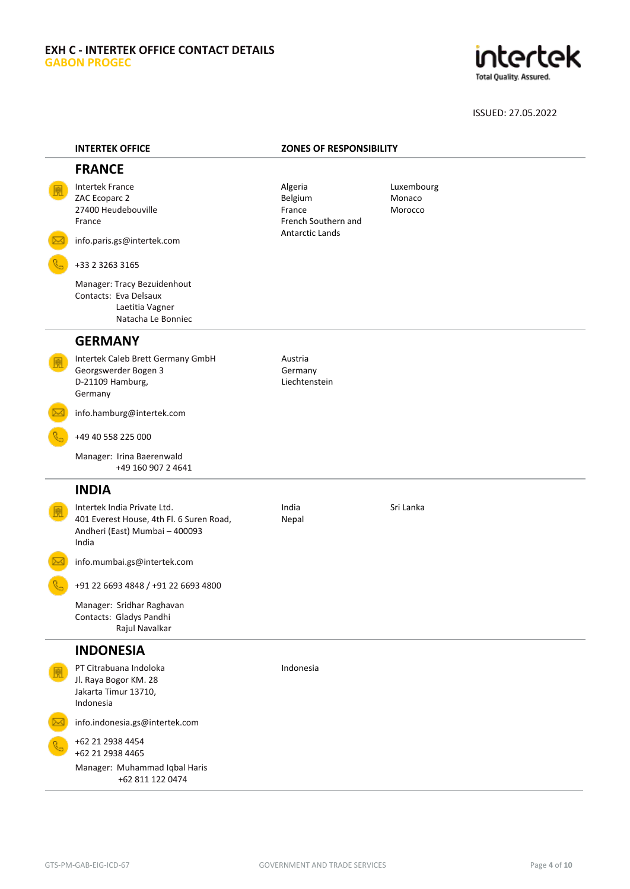# **EXH C - INTERTEK OFFICE CONTACT DETAILS GABON PROGEC**



| <b>INTERTEK OFFICE</b>                                                                                             | <b>ZONES OF RESPONSIBILITY</b>                      |                                 |
|--------------------------------------------------------------------------------------------------------------------|-----------------------------------------------------|---------------------------------|
| <b>FRANCE</b>                                                                                                      |                                                     |                                 |
| <b>Intertek France</b><br>ZAC Ecoparc 2<br>27400 Heudebouville<br>France                                           | Algeria<br>Belgium<br>France<br>French Southern and | Luxembourg<br>Monaco<br>Morocco |
| info.paris.gs@intertek.com                                                                                         | <b>Antarctic Lands</b>                              |                                 |
| +33 2 3263 3165                                                                                                    |                                                     |                                 |
| Manager: Tracy Bezuidenhout<br>Contacts: Eva Delsaux<br>Laetitia Vagner<br>Natacha Le Bonniec                      |                                                     |                                 |
| <b>GERMANY</b>                                                                                                     |                                                     |                                 |
| Intertek Caleb Brett Germany GmbH<br>Georgswerder Bogen 3<br>D-21109 Hamburg,<br>Germany                           | Austria<br>Germany<br>Liechtenstein                 |                                 |
| info.hamburg@intertek.com                                                                                          |                                                     |                                 |
| +49 40 558 225 000                                                                                                 |                                                     |                                 |
| Manager: Irina Baerenwald<br>+49 160 907 2 4641                                                                    |                                                     |                                 |
| <b>INDIA</b>                                                                                                       |                                                     |                                 |
| Intertek India Private Ltd.<br>401 Everest House, 4th Fl. 6 Suren Road,<br>Andheri (East) Mumbai - 400093<br>India | India<br>Nepal                                      | Sri Lanka                       |
| info.mumbai.gs@intertek.com                                                                                        |                                                     |                                 |
| +91 22 6693 4848 / +91 22 6693 4800                                                                                |                                                     |                                 |
| Manager: Sridhar Raghavan<br>Contacts: Gladys Pandhi<br>Rajul Navalkar                                             |                                                     |                                 |
| <b>INDONESIA</b>                                                                                                   |                                                     |                                 |
| PT Citrabuana Indoloka<br>Jl. Raya Bogor KM. 28<br>Jakarta Timur 13710,<br>Indonesia                               | Indonesia                                           |                                 |
| info.indonesia.gs@intertek.com                                                                                     |                                                     |                                 |
| +62 21 2938 4454<br>+62 21 2938 4465                                                                               |                                                     |                                 |
| Manager: Muhammad Iqbal Haris<br>+62 811 122 0474                                                                  |                                                     |                                 |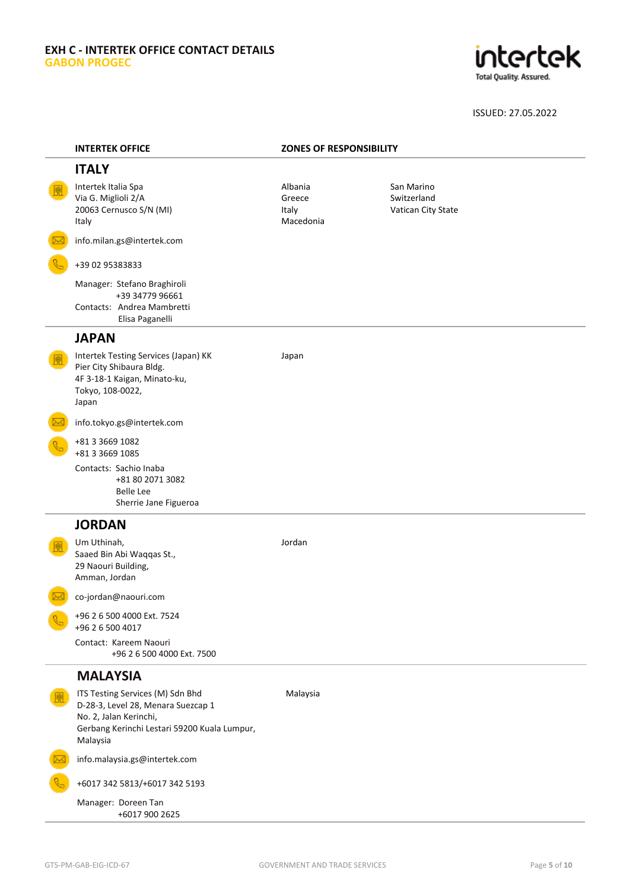# **EXH C - INTERTEK OFFICE CONTACT DETAILS GABON PROGEC**



| <b>INTERTEK OFFICE</b>                                                                                                                                       | <b>ZONES OF RESPONSIBILITY</b>          |                                                 |
|--------------------------------------------------------------------------------------------------------------------------------------------------------------|-----------------------------------------|-------------------------------------------------|
| <b>ITALY</b>                                                                                                                                                 |                                         |                                                 |
| Intertek Italia Spa<br>Via G. Miglioli 2/A<br>20063 Cernusco S/N (MI)<br>Italy                                                                               | Albania<br>Greece<br>Italy<br>Macedonia | San Marino<br>Switzerland<br>Vatican City State |
| info.milan.gs@intertek.com                                                                                                                                   |                                         |                                                 |
| +39 02 95383833                                                                                                                                              |                                         |                                                 |
| Manager: Stefano Braghiroli<br>+39 34779 96661<br>Contacts: Andrea Mambretti<br>Elisa Paganelli                                                              |                                         |                                                 |
| <b>JAPAN</b>                                                                                                                                                 |                                         |                                                 |
| Intertek Testing Services (Japan) KK<br>Pier City Shibaura Bldg.<br>4F 3-18-1 Kaigan, Minato-ku,<br>Tokyo, 108-0022,<br>Japan                                | Japan                                   |                                                 |
| info.tokyo.gs@intertek.com                                                                                                                                   |                                         |                                                 |
| +81 3 3 669 1082<br>+81 3 3669 1085<br>Contacts: Sachio Inaba<br>+81 80 2071 3082<br><b>Belle Lee</b>                                                        |                                         |                                                 |
| Sherrie Jane Figueroa                                                                                                                                        |                                         |                                                 |
| <b>JORDAN</b>                                                                                                                                                |                                         |                                                 |
| Um Uthinah,<br>Saaed Bin Abi Waqqas St.,<br>29 Naouri Building,<br>Amman, Jordan                                                                             | Jordan                                  |                                                 |
| co-jordan@naouri.com                                                                                                                                         |                                         |                                                 |
| +96 2 6 500 4000 Ext. 7524<br>+96 2 6 500 4017                                                                                                               |                                         |                                                 |
| Contact: Kareem Naouri<br>+96 2 6 500 4000 Ext. 7500                                                                                                         |                                         |                                                 |
| <b>MALAYSIA</b>                                                                                                                                              |                                         |                                                 |
| ITS Testing Services (M) Sdn Bhd<br>D-28-3, Level 28, Menara Suezcap 1<br>No. 2, Jalan Kerinchi,<br>Gerbang Kerinchi Lestari 59200 Kuala Lumpur,<br>Malaysia | Malaysia                                |                                                 |
| info.malaysia.gs@intertek.com                                                                                                                                |                                         |                                                 |
| +6017 342 5813/+6017 342 5193                                                                                                                                |                                         |                                                 |
| Manager: Doreen Tan<br>+6017 900 2625                                                                                                                        |                                         |                                                 |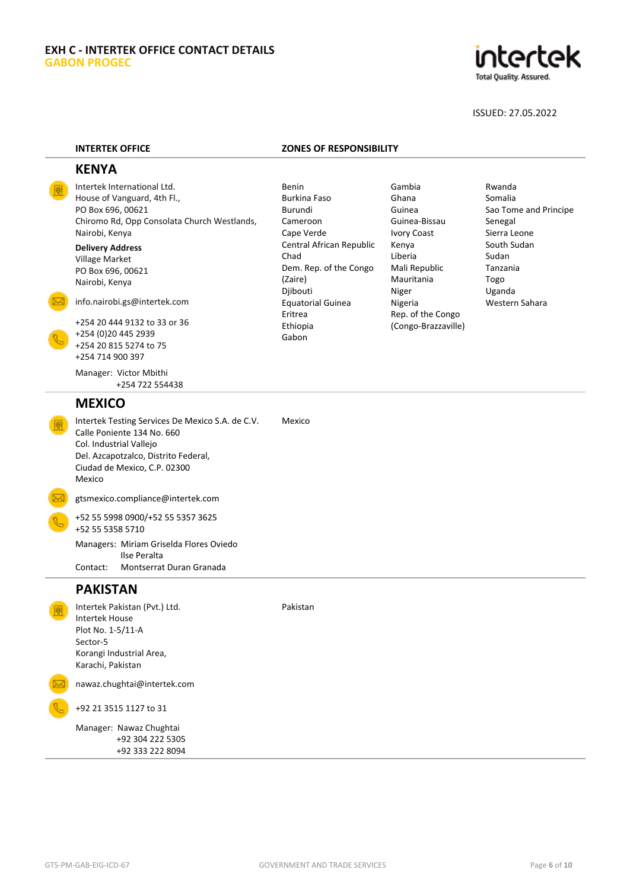

### **INTERTEK OFFICE ZONES OF RESPONSIBILITY**

# **KENYA**

Intertek International Ltd. House of Vanguard, 4th Fl., PO Box 696, 00621 Chiromo Rd, Opp Consolata Church Westlands, Nairobi, Kenya

**Delivery Address** Village Market PO Box 696, 00621 Nairobi, Kenya

[info.nairobi.gs@intertek.com](mailto:info.nairobi.gs@intertek.com)

+254 20 444 9132 to 33 or 36 +254 (0)20 445 2939 +254 20 815 5274 to 75 +254 714 900 397

Manager: Victor Mbithi +254 722 554438

# **MEXICO**

Intertek Testing Services De Mexico S.A. de C.V. Calle Poniente 134 No. 660 Col. Industrial Vallejo Del. Azcapotzalco, Distrito Federal, Ciudad de Mexico, C.P. 02300 Mexico Mexico

gtsmexico.compliance@intertek.com

+52 55 5998 0900/+52 55 5357 3625 +52 55 5358 5710 Managers: Miriam Griselda Flores Oviedo Ilse Peralta Contact: Montserrat Duran Granada

# **PAKISTAN**

Intertek Pakistan (Pvt.) Ltd. Intertek House Plot No. 1-5/11-A Sector-5 Korangi Industrial Area, Karachi, Pakistan

nawaz.chughtai@intertek.com

+92 21 3515 1127 to 31

Manager: Nawaz Chughtai +92 304 222 5305 +92 333 222 8094

Benin Burkina Faso Burundi Cameroon Cape Verde Central African Republic Chad Dem. Rep. of the Congo (Zaire) Djibouti Equatorial Guinea Eritrea Ethiopia Gabon

Gambia Ghana Guinea Guinea-Bissau Ivory Coast Kenya Liberia Mali Republic Mauritania Niger Nigeria Rep. of the Congo (Congo-Brazzaville)

Rwanda Somalia Sao Tome and Principe Senegal Sierra Leone South Sudan Sudan Tanzania Togo Uganda Western Sahara

Pakistan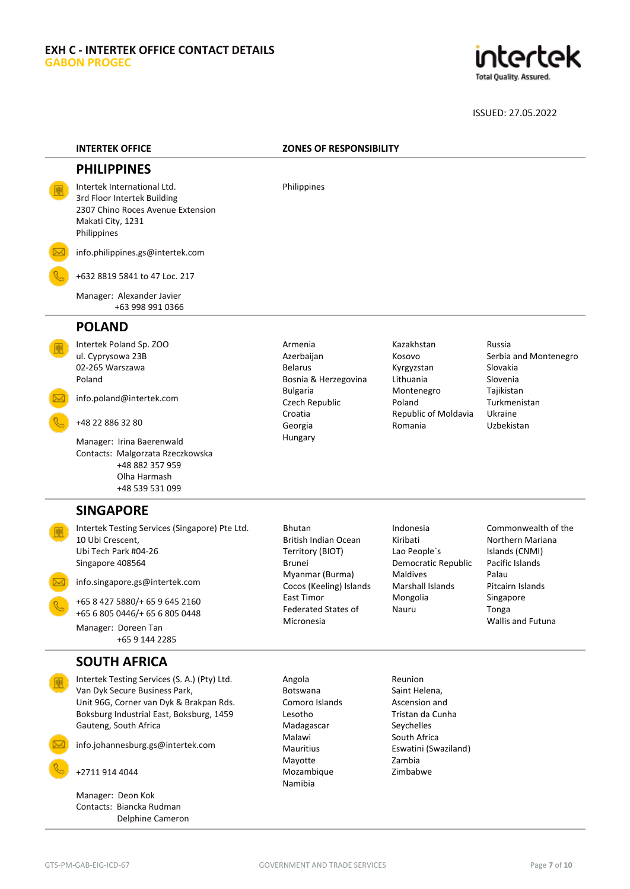

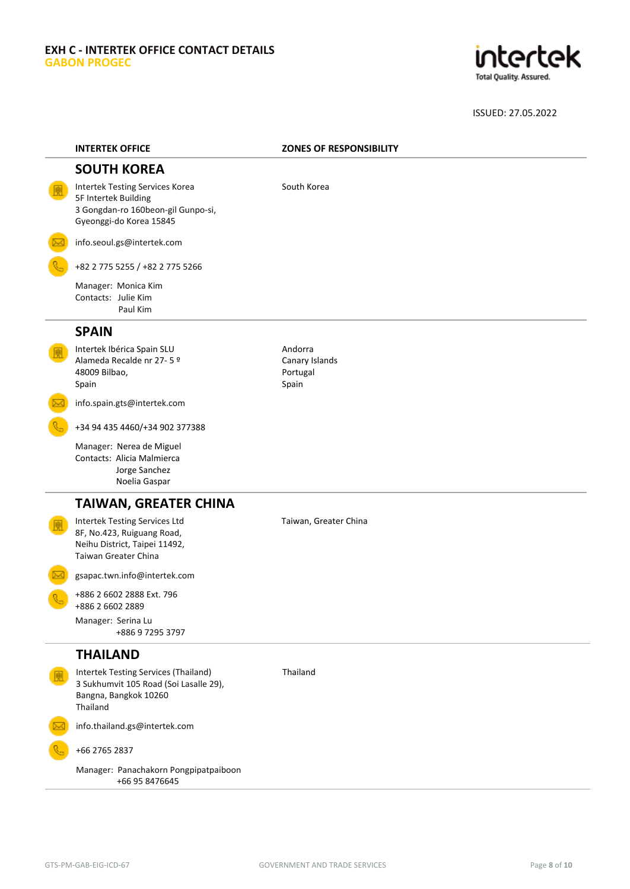

| <b>INTERTEK OFFICE</b>                                                                                                          | <b>ZONES OF RESPONSIBILITY</b>                 |
|---------------------------------------------------------------------------------------------------------------------------------|------------------------------------------------|
| <b>SOUTH KOREA</b>                                                                                                              |                                                |
| <b>Intertek Testing Services Korea</b><br>5F Intertek Building<br>3 Gongdan-ro 160beon-gil Gunpo-si,<br>Gyeonggi-do Korea 15845 | South Korea                                    |
| info.seoul.gs@intertek.com                                                                                                      |                                                |
| +82 2 775 5255 / +82 2 775 5266                                                                                                 |                                                |
| Manager: Monica Kim<br>Contacts: Julie Kim<br>Paul Kim                                                                          |                                                |
| <b>SPAIN</b>                                                                                                                    |                                                |
| Intertek Ibérica Spain SLU<br>Alameda Recalde nr 27-5 º<br>48009 Bilbao,<br>Spain                                               | Andorra<br>Canary Islands<br>Portugal<br>Spain |
| info.spain.gts@intertek.com                                                                                                     |                                                |
| +34 94 435 4460/+34 902 377388                                                                                                  |                                                |
| Manager: Nerea de Miguel<br>Contacts: Alicia Malmierca<br>Jorge Sanchez<br>Noelia Gaspar                                        |                                                |
| <b>TAIWAN, GREATER CHINA</b>                                                                                                    |                                                |
| <b>Intertek Testing Services Ltd</b><br>8F, No.423, Ruiguang Road,<br>Neihu District, Taipei 11492,<br>Taiwan Greater China     | Taiwan, Greater China                          |
| gsapac.twn.info@intertek.com                                                                                                    |                                                |
| +886 2 6602 2888 Ext. 796<br>+886 2 6602 2889                                                                                   |                                                |
| Manager: Serina Lu<br>+886 9 7295 3797                                                                                          |                                                |
| <b>THAILAND</b>                                                                                                                 |                                                |
| <b>Intertek Testing Services (Thailand)</b><br>3 Sukhumvit 105 Road (Soi Lasalle 29),<br>Bangna, Bangkok 10260<br>Thailand      | Thailand                                       |
| info.thailand.gs@intertek.com                                                                                                   |                                                |
| +66 2765 2837                                                                                                                   |                                                |
| Manager: Panachakorn Pongpipatpaiboon<br>+66 95 8476645                                                                         |                                                |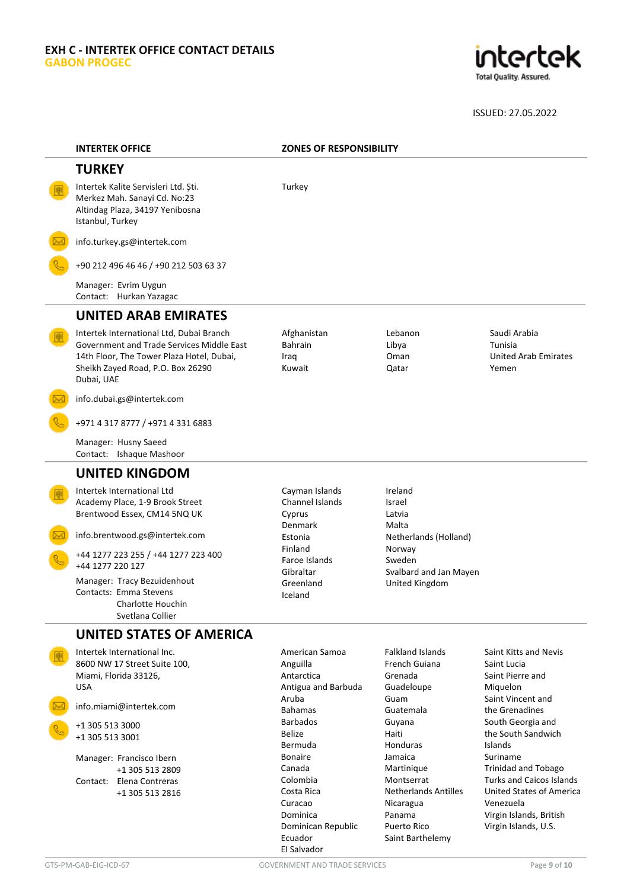

| <b>INTERTEK OFFICE</b>                                                                                                                                                                | <b>ZONES OF RESPONSIBILITY</b>                                  |                                                                   |                                                                                                            |
|---------------------------------------------------------------------------------------------------------------------------------------------------------------------------------------|-----------------------------------------------------------------|-------------------------------------------------------------------|------------------------------------------------------------------------------------------------------------|
| <b>TURKEY</b>                                                                                                                                                                         |                                                                 |                                                                   |                                                                                                            |
| Intertek Kalite Servisleri Ltd. Şti.<br>Merkez Mah. Sanayi Cd. No:23<br>Altindag Plaza, 34197 Yenibosna<br>Istanbul, Turkey                                                           | Turkey                                                          |                                                                   |                                                                                                            |
| info.turkey.gs@intertek.com                                                                                                                                                           |                                                                 |                                                                   |                                                                                                            |
| +90 212 496 46 46 / +90 212 503 63 37                                                                                                                                                 |                                                                 |                                                                   |                                                                                                            |
| Manager: Evrim Uygun<br>Contact: Hurkan Yazagac                                                                                                                                       |                                                                 |                                                                   |                                                                                                            |
| <b>UNITED ARAB EMIRATES</b>                                                                                                                                                           |                                                                 |                                                                   |                                                                                                            |
| Intertek International Ltd, Dubai Branch<br>Government and Trade Services Middle East<br>14th Floor, The Tower Plaza Hotel, Dubai,<br>Sheikh Zayed Road, P.O. Box 26290<br>Dubai, UAE | Afghanistan<br><b>Bahrain</b><br>Iraq<br>Kuwait                 | Lebanon<br>Libya<br>Oman<br>Qatar                                 | Saudi Arabia<br>Tunisia<br><b>United Arab Emirates</b><br>Yemen                                            |
| info.dubai.gs@intertek.com                                                                                                                                                            |                                                                 |                                                                   |                                                                                                            |
| +971 4 317 8777 / +971 4 331 6883                                                                                                                                                     |                                                                 |                                                                   |                                                                                                            |
| Manager: Husny Saeed<br>Contact: Ishaque Mashoor                                                                                                                                      |                                                                 |                                                                   |                                                                                                            |
| <b>UNITED KINGDOM</b>                                                                                                                                                                 |                                                                 |                                                                   |                                                                                                            |
| Intertek International Ltd<br>Academy Place, 1-9 Brook Street<br>Brentwood Essex, CM14 5NQ UK                                                                                         | Cayman Islands<br>Channel Islands<br>Cyprus                     | Ireland<br>Israel<br>Latvia                                       |                                                                                                            |
| info.brentwood.gs@intertek.com                                                                                                                                                        | <b>Denmark</b><br>Estonia                                       | Malta<br>Netherlands (Holland)                                    |                                                                                                            |
| +44 1277 223 255 / +44 1277 223 400<br>+44 1277 220 127                                                                                                                               | Finland<br>Faroe Islands<br>Gibraltar                           | Norway<br>Sweden<br>Svalbard and Jan Mayen                        |                                                                                                            |
| Manager: Tracy Bezuidenhout<br>Contacts: Emma Stevens<br>Charlotte Houchin<br>Svetlana Collier                                                                                        | Greenland<br>Iceland                                            | United Kingdom                                                    |                                                                                                            |
| UNITED STATES OF AMERICA                                                                                                                                                              |                                                                 |                                                                   |                                                                                                            |
| Intertek International Inc.<br>8600 NW 17 Street Suite 100,<br>Miami, Florida 33126,<br><b>USA</b>                                                                                    | American Samoa<br>Anguilla<br>Antarctica<br>Antigua and Barbuda | <b>Falkland Islands</b><br>French Guiana<br>Grenada<br>Guadeloupe | Saint Kitts and Nevis<br>Saint Lucia<br>Saint Pierre and<br>Miquelon                                       |
| info.miami@intertek.com                                                                                                                                                               | Aruba<br><b>Bahamas</b>                                         | Guam<br>Guatemala                                                 | Saint Vincent and<br>the Grenadines                                                                        |
| +1 305 513 3000<br>+1 305 513 3001                                                                                                                                                    | <b>Barbados</b><br><b>Belize</b><br>Bermuda                     | Guyana<br>Haiti<br><b>Honduras</b>                                | South Georgia and<br>the South Sandwich<br><b>Islands</b>                                                  |
| Manager: Francisco Ibern                                                                                                                                                              | <b>Bonaire</b><br>Canada                                        | Jamaica<br>Martinique                                             | Suriname<br><b>Trinidad and Tobago</b>                                                                     |
| +1 305 513 2809<br>Contact: Elena Contreras<br>+1 305 513 2816                                                                                                                        | Colombia<br>Costa Rica<br>Curacao<br>Dominica                   | Montserrat<br><b>Netherlands Antilles</b><br>Nicaragua<br>Panama  | <b>Turks and Caicos Islands</b><br><b>United States of America</b><br>Venezuela<br>Virgin Islands, British |

Dominican Republic

Puerto Rico Saint Barthelemy

Ecuador El Salvador

Virgin Islands, British Virgin Islands, U.S.